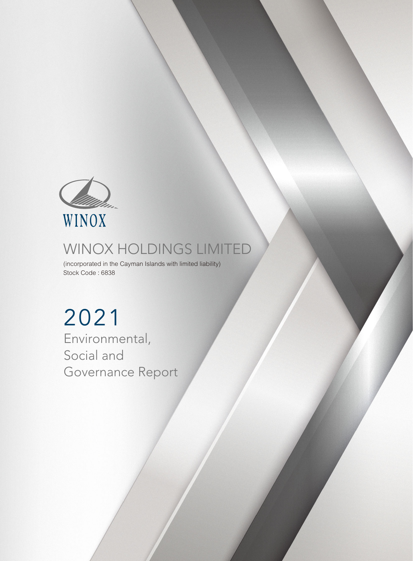

# WINOX HOLDINGS LIMITED

(incorporated in the Cayman Islands with limited liability) Stock Code : 6838

2021 Environmental, Social and Governance Report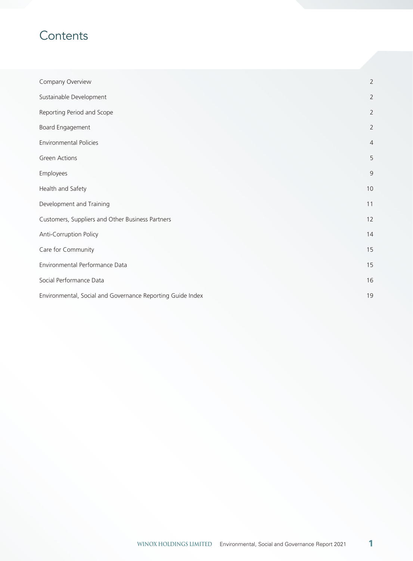## **Contents**

| Company Overview                                           | $\overline{2}$ |
|------------------------------------------------------------|----------------|
| Sustainable Development                                    | $\overline{2}$ |
| Reporting Period and Scope                                 | $\overline{2}$ |
| Board Engagement                                           | $\overline{2}$ |
| <b>Environmental Policies</b>                              | $\overline{4}$ |
| <b>Green Actions</b>                                       | 5              |
| Employees                                                  | $\overline{9}$ |
| Health and Safety                                          | 10             |
| Development and Training                                   | 11             |
| Customers, Suppliers and Other Business Partners           | 12             |
| Anti-Corruption Policy                                     | 14             |
| Care for Community                                         | 15             |
| Environmental Performance Data                             | 15             |
| Social Performance Data                                    | 16             |
| Environmental, Social and Governance Reporting Guide Index | 19             |

**1**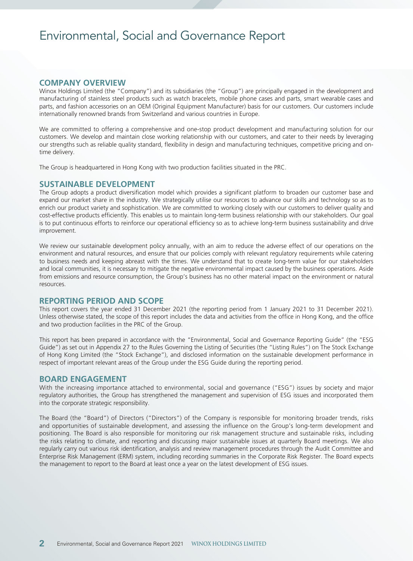## Environmental, Social and Governance Report

## **COMPANY OVERVIEW**

Winox Holdings Limited (the "Company") and its subsidiaries (the "Group") are principally engaged in the development and manufacturing of stainless steel products such as watch bracelets, mobile phone cases and parts, smart wearable cases and parts, and fashion accessories on an OEM (Original Equipment Manufacturer) basis for our customers. Our customers include internationally renowned brands from Switzerland and various countries in Europe.

We are committed to offering a comprehensive and one-stop product development and manufacturing solution for our customers. We develop and maintain close working relationship with our customers, and cater to their needs by leveraging our strengths such as reliable quality standard, flexibility in design and manufacturing techniques, competitive pricing and ontime delivery.

The Group is headquartered in Hong Kong with two production facilities situated in the PRC.

## **SUSTAINABLE DEVELOPMENT**

The Group adopts a product diversification model which provides a significant platform to broaden our customer base and expand our market share in the industry. We strategically utilise our resources to advance our skills and technology so as to enrich our product variety and sophistication. We are committed to working closely with our customers to deliver quality and cost-effective products efficiently. This enables us to maintain long-term business relationship with our stakeholders. Our goal is to put continuous efforts to reinforce our operational efficiency so as to achieve long-term business sustainability and drive improvement.

We review our sustainable development policy annually, with an aim to reduce the adverse effect of our operations on the environment and natural resources, and ensure that our policies comply with relevant regulatory requirements while catering to business needs and keeping abreast with the times. We understand that to create long-term value for our stakeholders and local communities, it is necessary to mitigate the negative environmental impact caused by the business operations. Aside from emissions and resource consumption, the Group's business has no other material impact on the environment or natural resources.

### **REPORTING PERIOD AND SCOPE**

This report covers the year ended 31 December 2021 (the reporting period from 1 January 2021 to 31 December 2021). Unless otherwise stated, the scope of this report includes the data and activities from the office in Hong Kong, and the office and two production facilities in the PRC of the Group.

This report has been prepared in accordance with the "Environmental, Social and Governance Reporting Guide" (the "ESG Guide") as set out in Appendix 27 to the Rules Governing the Listing of Securities (the "Listing Rules") on The Stock Exchange of Hong Kong Limited (the "Stock Exchange"), and disclosed information on the sustainable development performance in respect of important relevant areas of the Group under the ESG Guide during the reporting period.

## **BOARD ENGAGEMENT**

With the increasing importance attached to environmental, social and governance ("ESG") issues by society and major regulatory authorities, the Group has strengthened the management and supervision of ESG issues and incorporated them into the corporate strategic responsibility.

The Board (the "Board") of Directors ("Directors") of the Company is responsible for monitoring broader trends, risks and opportunities of sustainable development, and assessing the influence on the Group's long-term development and positioning. The Board is also responsible for monitoring our risk management structure and sustainable risks, including the risks relating to climate, and reporting and discussing major sustainable issues at quarterly Board meetings. We also regularly carry out various risk identification, analysis and review management procedures through the Audit Committee and Enterprise Risk Management (ERM) system, including recording summaries in the Corporate Risk Register. The Board expects the management to report to the Board at least once a year on the latest development of ESG issues.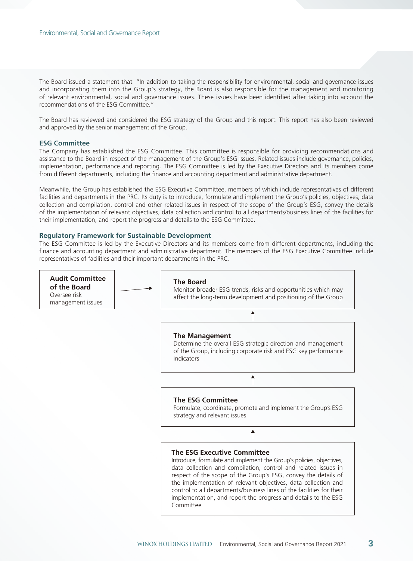The Board issued a statement that: "In addition to taking the responsibility for environmental, social and governance issues and incorporating them into the Group's strategy, the Board is also responsible for the management and monitoring of relevant environmental, social and governance issues. These issues have been identified after taking into account the recommendations of the ESG Committee."

The Board has reviewed and considered the ESG strategy of the Group and this report. This report has also been reviewed and approved by the senior management of the Group.

#### **ESG Committee**

The Company has established the ESG Committee. This committee is responsible for providing recommendations and assistance to the Board in respect of the management of the Group's ESG issues. Related issues include governance, policies, implementation, performance and reporting. The ESG Committee is led by the Executive Directors and its members come from different departments, including the finance and accounting department and administrative department.

Meanwhile, the Group has established the ESG Executive Committee, members of which include representatives of different facilities and departments in the PRC. Its duty is to introduce, formulate and implement the Group's policies, objectives, data collection and compilation, control and other related issues in respect of the scope of the Group's ESG, convey the details of the implementation of relevant objectives, data collection and control to all departments/business lines of the facilities for their implementation, and report the progress and details to the ESG Committee.

#### **Regulatory Framework for Sustainable Development**

The ESG Committee is led by the Executive Directors and its members come from different departments, including the finance and accounting department and administrative department. The members of the ESG Executive Committee include representatives of facilities and their important departments in the PRC.

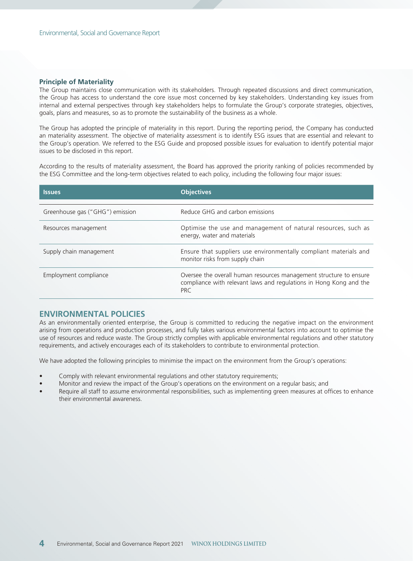#### **Principle of Materiality**

The Group maintains close communication with its stakeholders. Through repeated discussions and direct communication, the Group has access to understand the core issue most concerned by key stakeholders. Understanding key issues from internal and external perspectives through key stakeholders helps to formulate the Group's corporate strategies, objectives, goals, plans and measures, so as to promote the sustainability of the business as a whole.

The Group has adopted the principle of materiality in this report. During the reporting period, the Company has conducted an materiality assessment. The objective of materiality assessment is to identify ESG issues that are essential and relevant to the Group's operation. We referred to the ESG Guide and proposed possible issues for evaluation to identify potential major issues to be disclosed in this report.

According to the results of materiality assessment, the Board has approved the priority ranking of policies recommended by the ESG Committee and the long-term objectives related to each policy, including the following four major issues:

| <b>Issues</b>                   | <b>Objectives</b>                                                                                                                                      |
|---------------------------------|--------------------------------------------------------------------------------------------------------------------------------------------------------|
| Greenhouse gas ("GHG") emission | Reduce GHG and carbon emissions                                                                                                                        |
| Resources management            | Optimise the use and management of natural resources, such as<br>energy, water and materials                                                           |
| Supply chain management         | Ensure that suppliers use environmentally compliant materials and<br>monitor risks from supply chain                                                   |
| Employment compliance           | Oversee the overall human resources management structure to ensure<br>compliance with relevant laws and regulations in Hong Kong and the<br><b>PRC</b> |

## **ENVIRONMENTAL POLICIES**

As an environmentally oriented enterprise, the Group is committed to reducing the negative impact on the environment arising from operations and production processes, and fully takes various environmental factors into account to optimise the use of resources and reduce waste. The Group strictly complies with applicable environmental regulations and other statutory requirements, and actively encourages each of its stakeholders to contribute to environmental protection.

We have adopted the following principles to minimise the impact on the environment from the Group's operations:

- Comply with relevant environmental regulations and other statutory requirements;
- Monitor and review the impact of the Group's operations on the environment on a regular basis; and
- Require all staff to assume environmental responsibilities, such as implementing green measures at offices to enhance their environmental awareness.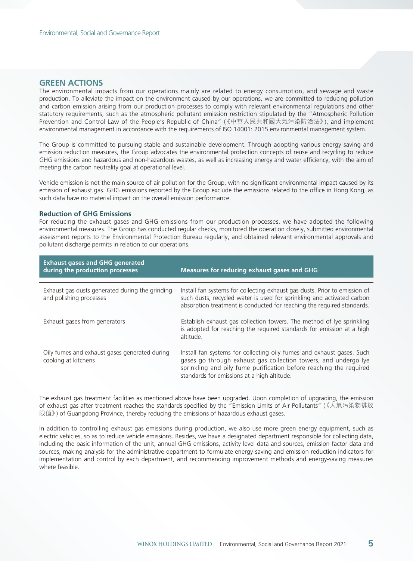## **GREEN ACTIONS**

The environmental impacts from our operations mainly are related to energy consumption, and sewage and waste production. To alleviate the impact on the environment caused by our operations, we are committed to reducing pollution and carbon emission arising from our production processes to comply with relevant environmental regulations and other statutory requirements, such as the atmospheric pollutant emission restriction stipulated by the "Atmospheric Pollution Prevention and Control Law of the People's Republic of China" (《中華人民共和國大氣污染防治法》), and implement environmental management in accordance with the requirements of ISO 14001: 2015 environmental management system.

The Group is committed to pursuing stable and sustainable development. Through adopting various energy saving and emission reduction measures, the Group advocates the environmental protection concepts of reuse and recycling to reduce GHG emissions and hazardous and non-hazardous wastes, as well as increasing energy and water efficiency, with the aim of meeting the carbon neutrality goal at operational level.

Vehicle emission is not the main source of air pollution for the Group, with no significant environmental impact caused by its emission of exhaust gas. GHG emissions reported by the Group exclude the emissions related to the office in Hong Kong, as such data have no material impact on the overall emission performance.

#### **Reduction of GHG Emissions**

For reducing the exhaust gases and GHG emissions from our production processes, we have adopted the following environmental measures. The Group has conducted regular checks, monitored the operation closely, submitted environmental assessment reports to the Environmental Protection Bureau regularly, and obtained relevant environmental approvals and pollutant discharge permits in relation to our operations.

| <b>Exhaust gases and GHG generated</b><br>during the production processes  | <b>Measures for reducing exhaust gases and GHG</b>                                                                                                                                                                                                            |
|----------------------------------------------------------------------------|---------------------------------------------------------------------------------------------------------------------------------------------------------------------------------------------------------------------------------------------------------------|
| Exhaust gas dusts generated during the grinding<br>and polishing processes | Install fan systems for collecting exhaust gas dusts. Prior to emission of<br>such dusts, recycled water is used for sprinkling and activated carbon<br>absorption treatment is conducted for reaching the required standards.                                |
| Exhaust gases from generators                                              | Establish exhaust gas collection towers. The method of lye sprinkling<br>is adopted for reaching the required standards for emission at a high<br>altitude.                                                                                                   |
| Oily fumes and exhaust gases generated during<br>cooking at kitchens       | Install fan systems for collecting oily fumes and exhaust gases. Such<br>gases go through exhaust gas collection towers, and undergo lye<br>sprinkling and oily fume purification before reaching the required<br>standards for emissions at a high altitude. |

The exhaust gas treatment facilities as mentioned above have been upgraded. Upon completion of upgrading, the emission of exhaust gas after treatment reaches the standards specified by the "Emission Limits of Air Pollutants" (《大氣污染物排放 限值》) of Guangdong Province, thereby reducing the emissions of hazardous exhaust gases.

In addition to controlling exhaust gas emissions during production, we also use more green energy equipment, such as electric vehicles, so as to reduce vehicle emissions. Besides, we have a designated department responsible for collecting data, including the basic information of the unit, annual GHG emissions, activity level data and sources, emission factor data and sources, making analysis for the administrative department to formulate energy-saving and emission reduction indicators for implementation and control by each department, and recommending improvement methods and energy-saving measures where feasible.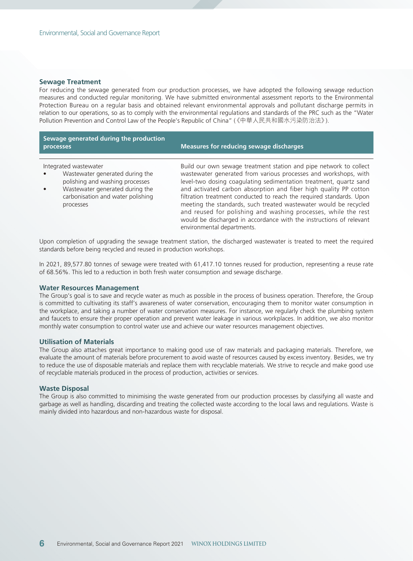#### **Sewage Treatment**

For reducing the sewage generated from our production processes, we have adopted the following sewage reduction measures and conducted regular monitoring. We have submitted environmental assessment reports to the Environmental Protection Bureau on a regular basis and obtained relevant environmental approvals and pollutant discharge permits in relation to our operations, so as to comply with the environmental regulations and standards of the PRC such as the "Water Pollution Prevention and Control Law of the People's Republic of China" (《中華人民共和國水污染防治法》).

| Sewage generated during the production<br>processes                                                                                                                              | <b>Measures for reducing sewage discharges</b>                                                                                                                                                                                                                                                                                                                                                                                                                                                                                                                                                    |
|----------------------------------------------------------------------------------------------------------------------------------------------------------------------------------|---------------------------------------------------------------------------------------------------------------------------------------------------------------------------------------------------------------------------------------------------------------------------------------------------------------------------------------------------------------------------------------------------------------------------------------------------------------------------------------------------------------------------------------------------------------------------------------------------|
| Integrated wastewater<br>Wastewater generated during the<br>polishing and washing processes<br>Wastewater generated during the<br>carbonisation and water polishing<br>processes | Build our own sewage treatment station and pipe network to collect<br>wastewater generated from various processes and workshops, with<br>level-two dosing coagulating sedimentation treatment, quartz sand<br>and activated carbon absorption and fiber high quality PP cotton<br>filtration treatment conducted to reach the required standards. Upon<br>meeting the standards, such treated wastewater would be recycled<br>and reused for polishing and washing processes, while the rest<br>would be discharged in accordance with the instructions of relevant<br>environmental departments. |

Upon completion of upgrading the sewage treatment station, the discharged wastewater is treated to meet the required standards before being recycled and reused in production workshops.

In 2021, 89,577.80 tonnes of sewage were treated with 61,417.10 tonnes reused for production, representing a reuse rate of 68.56%. This led to a reduction in both fresh water consumption and sewage discharge.

#### **Water Resources Management**

The Group's goal is to save and recycle water as much as possible in the process of business operation. Therefore, the Group is committed to cultivating its staff's awareness of water conservation, encouraging them to monitor water consumption in the workplace, and taking a number of water conservation measures. For instance, we regularly check the plumbing system and faucets to ensure their proper operation and prevent water leakage in various workplaces. In addition, we also monitor monthly water consumption to control water use and achieve our water resources management objectives.

#### **Utilisation of Materials**

The Group also attaches great importance to making good use of raw materials and packaging materials. Therefore, we evaluate the amount of materials before procurement to avoid waste of resources caused by excess inventory. Besides, we try to reduce the use of disposable materials and replace them with recyclable materials. We strive to recycle and make good use of recyclable materials produced in the process of production, activities or services.

#### **Waste Disposal**

The Group is also committed to minimising the waste generated from our production processes by classifying all waste and garbage as well as handling, discarding and treating the collected waste according to the local laws and regulations. Waste is mainly divided into hazardous and non-hazardous waste for disposal.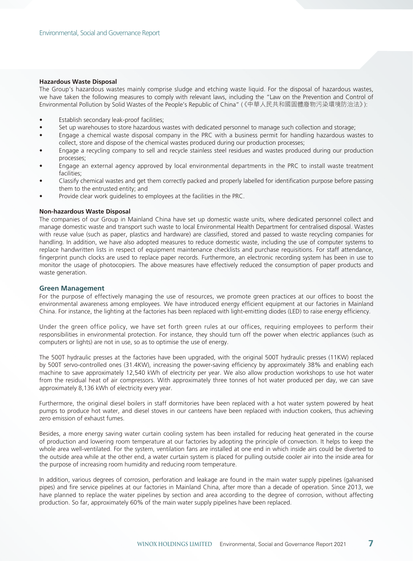#### **Hazardous Waste Disposal**

The Group's hazardous wastes mainly comprise sludge and etching waste liquid. For the disposal of hazardous wastes, we have taken the following measures to comply with relevant laws, including the "Law on the Prevention and Control of Environmental Pollution by Solid Wastes of the People's Republic of China" (《中華人民共和國固體廢物污染環境防治法》):

- Establish secondary leak-proof facilities;
- Set up warehouses to store hazardous wastes with dedicated personnel to manage such collection and storage;
- Engage a chemical waste disposal company in the PRC with a business permit for handling hazardous wastes to collect, store and dispose of the chemical wastes produced during our production processes;
- Engage a recycling company to sell and recycle stainless steel residues and wastes produced during our production processes;
- Engage an external agency approved by local environmental departments in the PRC to install waste treatment facilities;
- Classify chemical wastes and get them correctly packed and properly labelled for identification purpose before passing them to the entrusted entity; and
- Provide clear work guidelines to employees at the facilities in the PRC.

#### **Non-hazardous Waste Disposal**

The companies of our Group in Mainland China have set up domestic waste units, where dedicated personnel collect and manage domestic waste and transport such waste to local Environmental Health Department for centralised disposal. Wastes with reuse value (such as paper, plastics and hardware) are classified, stored and passed to waste recycling companies for handling. In addition, we have also adopted measures to reduce domestic waste, including the use of computer systems to replace handwritten lists in respect of equipment maintenance checklists and purchase requisitions. For staff attendance, fingerprint punch clocks are used to replace paper records. Furthermore, an electronic recording system has been in use to monitor the usage of photocopiers. The above measures have effectively reduced the consumption of paper products and waste generation.

### **Green Management**

For the purpose of effectively managing the use of resources, we promote green practices at our offices to boost the environmental awareness among employees. We have introduced energy efficient equipment at our factories in Mainland China. For instance, the lighting at the factories has been replaced with light-emitting diodes (LED) to raise energy efficiency.

Under the green office policy, we have set forth green rules at our offices, requiring employees to perform their responsibilities in environmental protection. For instance, they should turn off the power when electric appliances (such as computers or lights) are not in use, so as to optimise the use of energy.

The 500T hydraulic presses at the factories have been upgraded, with the original 500T hydraulic presses (11KW) replaced by 500T servo-controlled ones (31.4KW), increasing the power-saving efficiency by approximately 38% and enabling each machine to save approximately 12,540 kWh of electricity per year. We also allow production workshops to use hot water from the residual heat of air compressors. With approximately three tonnes of hot water produced per day, we can save approximately 8,136 kWh of electricity every year.

Furthermore, the original diesel boilers in staff dormitories have been replaced with a hot water system powered by heat pumps to produce hot water, and diesel stoves in our canteens have been replaced with induction cookers, thus achieving zero emission of exhaust fumes.

Besides, a more energy saving water curtain cooling system has been installed for reducing heat generated in the course of production and lowering room temperature at our factories by adopting the principle of convection. It helps to keep the whole area well-ventilated. For the system, ventilation fans are installed at one end in which inside airs could be diverted to the outside area while at the other end, a water curtain system is placed for pulling outside cooler air into the inside area for the purpose of increasing room humidity and reducing room temperature.

In addition, various degrees of corrosion, perforation and leakage are found in the main water supply pipelines (galvanised pipes) and fire service pipelines at our factories in Mainland China, after more than a decade of operation. Since 2013, we have planned to replace the water pipelines by section and area according to the degree of corrosion, without affecting production. So far, approximately 60% of the main water supply pipelines have been replaced.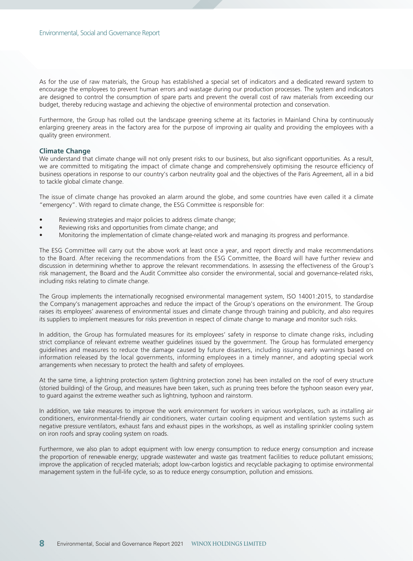As for the use of raw materials, the Group has established a special set of indicators and a dedicated reward system to encourage the employees to prevent human errors and wastage during our production processes. The system and indicators are designed to control the consumption of spare parts and prevent the overall cost of raw materials from exceeding our budget, thereby reducing wastage and achieving the objective of environmental protection and conservation.

Furthermore, the Group has rolled out the landscape greening scheme at its factories in Mainland China by continuously enlarging greenery areas in the factory area for the purpose of improving air quality and providing the employees with a quality green environment.

#### **Climate Change**

We understand that climate change will not only present risks to our business, but also significant opportunities. As a result, we are committed to mitigating the impact of climate change and comprehensively optimising the resource efficiency of business operations in response to our country's carbon neutrality goal and the objectives of the Paris Agreement, all in a bid to tackle global climate change.

The issue of climate change has provoked an alarm around the globe, and some countries have even called it a climate "emergency". With regard to climate change, the ESG Committee is responsible for:

- Reviewing strategies and major policies to address climate change;
- Reviewing risks and opportunities from climate change; and
- Monitoring the implementation of climate change-related work and managing its progress and performance.

The ESG Committee will carry out the above work at least once a year, and report directly and make recommendations to the Board. After receiving the recommendations from the ESG Committee, the Board will have further review and discussion in determining whether to approve the relevant recommendations. In assessing the effectiveness of the Group's risk management, the Board and the Audit Committee also consider the environmental, social and governance-related risks, including risks relating to climate change.

The Group implements the internationally recognised environmental management system, ISO 14001:2015, to standardise the Company's management approaches and reduce the impact of the Group's operations on the environment. The Group raises its employees' awareness of environmental issues and climate change through training and publicity, and also requires its suppliers to implement measures for risks prevention in respect of climate change to manage and monitor such risks.

In addition, the Group has formulated measures for its employees' safety in response to climate change risks, including strict compliance of relevant extreme weather guidelines issued by the government. The Group has formulated emergency guidelines and measures to reduce the damage caused by future disasters, including issuing early warnings based on information released by the local governments, informing employees in a timely manner, and adopting special work arrangements when necessary to protect the health and safety of employees.

At the same time, a lightning protection system (lightning protection zone) has been installed on the roof of every structure (storied building) of the Group, and measures have been taken, such as pruning trees before the typhoon season every year, to guard against the extreme weather such as lightning, typhoon and rainstorm.

In addition, we take measures to improve the work environment for workers in various workplaces, such as installing air conditioners, environmental-friendly air conditioners, water curtain cooling equipment and ventilation systems such as negative pressure ventilators, exhaust fans and exhaust pipes in the workshops, as well as installing sprinkler cooling system on iron roofs and spray cooling system on roads.

Furthermore, we also plan to adopt equipment with low energy consumption to reduce energy consumption and increase the proportion of renewable energy; upgrade wastewater and waste gas treatment facilities to reduce pollutant emissions; improve the application of recycled materials; adopt low-carbon logistics and recyclable packaging to optimise environmental management system in the full-life cycle, so as to reduce energy consumption, pollution and emissions.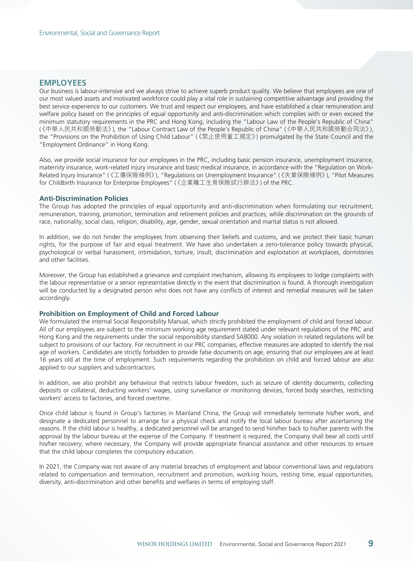## **EMPLOYEES**

Our business is labour-intensive and we always strive to achieve superb product quality. We believe that employees are one of our most valued assets and motivated workforce could play a vital role in sustaining competitive advantage and providing the best service experience to our customers. We trust and respect our employees, and have established a clear remuneration and welfare policy based on the principles of equal opportunity and anti-discrimination which complies with or even exceed the minimum statutory requirements in the PRC and Hong Kong, including the "Labour Law of the People's Republic of China" (《中華人民共和國勞動法》), the "Labour Contract Law of the People's Republic of China" (《中華人民共和國勞動合同法》), the "Provisions on the Prohibition of Using Child Labour" (《禁止使用童工規定》) promulgated by the State Council and the "Employment Ordinance" in Hong Kong.

Also, we provide social insurance for our employees in the PRC, including basic pension insurance, unemployment insurance, maternity insurance, work-related injury insurance and basic medical insurance, in accordance with the "Regulation on Work-Related Injury Insurance" (《工傷保險條例》), "Regulations on Unemployment Insurance" (《失業保險條例》), "Pilot Measures for Childbirth Insurance for Enterprise Employees" (《企業職工生育保險試行辦法》) of the PRC.

#### **Anti-Discrimination Policies**

The Group has adopted the principles of equal opportunity and anti-discrimination when formulating our recruitment, remuneration, training, promotion, termination and retirement policies and practices, while discrimination on the grounds of race, nationality, social class, religion, disability, age, gender, sexual orientation and marital status is not allowed.

In addition, we do not hinder the employees from observing their beliefs and customs, and we protect their basic human rights, for the purpose of fair and equal treatment. We have also undertaken a zero-tolerance policy towards physical, psychological or verbal harassment, intimidation, torture, insult, discrimination and exploitation at workplaces, dormitories and other facilities.

Moreover, the Group has established a grievance and complaint mechanism, allowing its employees to lodge complaints with the labour representative or a senior representative directly in the event that discrimination is found. A thorough investigation will be conducted by a designated person who does not have any conflicts of interest and remedial measures will be taken accordingly.

#### **Prohibition on Employment of Child and Forced Labour**

We formulated the internal Social Responsibility Manual, which strictly prohibited the employment of child and forced labour. All of our employees are subject to the minimum working age requirement stated under relevant regulations of the PRC and Hong Kong and the requirements under the social responsibility standard SA8000. Any violation in related regulations will be subject to provisions of our factory. For recruitment in our PRC companies, effective measures are adopted to identify the real age of workers. Candidates are strictly forbidden to provide false documents on age, ensuring that our employees are at least 16 years old at the time of employment. Such requirements regarding the prohibition on child and forced labour are also applied to our suppliers and subcontractors.

In addition, we also prohibit any behaviour that restricts labour freedom, such as seizure of identity documents, collecting deposits or collateral, deducting workers' wages, using surveillance or monitoring devices, forced body searches, restricting workers' access to factories, and forced overtime.

Once child labour is found in Group's factories in Mainland China, the Group will immediately terminate his/her work, and designate a dedicated personnel to arrange for a physical check and notify the local labour bureau after ascertaining the reasons. If the child labour is healthy, a dedicated personnel will be arranged to send him/her back to his/her parents with the approval by the labour bureau at the expense of the Company. If treatment is required, the Company shall bear all costs until his/her recovery; where necessary, the Company will provide appropriate financial assistance and other resources to ensure that the child labour completes the compulsory education.

In 2021, the Company was not aware of any material breaches of employment and labour conventional laws and regulations related to compensation and termination, recruitment and promotion, working hours, resting time, equal opportunities, diversity, anti-discrimination and other benefits and welfares in terms of employing staff.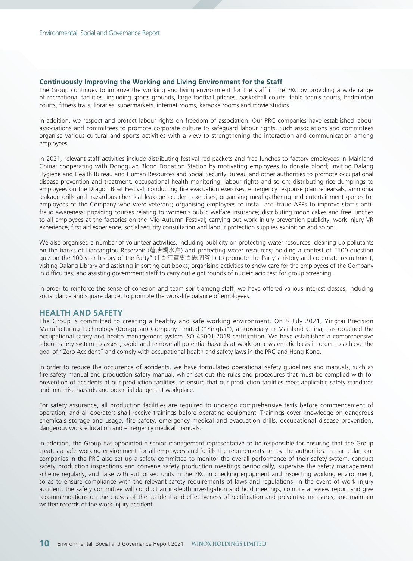## **Continuously Improving the Working and Living Environment for the Staff**

The Group continues to improve the working and living environment for the staff in the PRC by providing a wide range of recreational facilities, including sports grounds, large football pitches, basketball courts, table tennis courts, badminton courts, fitness trails, libraries, supermarkets, internet rooms, karaoke rooms and movie studios.

In addition, we respect and protect labour rights on freedom of association. Our PRC companies have established labour associations and committees to promote corporate culture to safeguard labour rights. Such associations and committees organise various cultural and sports activities with a view to strengthening the interaction and communication among employees.

In 2021, relevant staff activities include distributing festival red packets and free lunches to factory employees in Mainland China; cooperating with Dongguan Blood Donation Station by motivating employees to donate blood; inviting Dalang Hygiene and Health Bureau and Human Resources and Social Security Bureau and other authorities to promote occupational disease prevention and treatment, occupational health monitoring, labour rights and so on; distributing rice dumplings to employees on the Dragon Boat Festival; conducting fire evacuation exercises, emergency response plan rehearsals, ammonia leakage drills and hazardous chemical leakage accident exercises; organising meal gathering and entertainment games for employees of the Company who were veterans; organising employees to install anti-fraud APPs to improve staff's antifraud awareness; providing courses relating to women's public welfare insurance; distributing moon cakes and free lunches to all employees at the factories on the Mid-Autumn Festival; carrying out work injury prevention publicity, work injury VR experience, first aid experience, social security consultation and labour protection supplies exhibition and so on.

We also organised a number of volunteer activities, including publicity on protecting water resources, cleaning up pollutants on the banks of Liantangtou Reservoir (蓮塘頭水庫) and protecting water resources; holding a contest of "100-question quiz on the 100-year history of the Party" (「百年黨史百題問答」) to promote the Party's history and corporate recruitment; visiting Dalang Library and assisting in sorting out books; organising activities to show care for the employees of the Company in difficulties; and assisting government staff to carry out eight rounds of nucleic acid test for group screening.

In order to reinforce the sense of cohesion and team spirit among staff, we have offered various interest classes, including social dance and square dance, to promote the work-life balance of employees.

## **HEALTH AND SAFETY**

The Group is committed to creating a healthy and safe working environment. On 5 July 2021, Yingtai Precision Manufacturing Technology (Dongguan) Company Limited ("Yingtai"), a subsidiary in Mainland China, has obtained the occupational safety and health management system ISO 45001:2018 certification. We have established a comprehensive labour safety system to assess, avoid and remove all potential hazards at work on a systematic basis in order to achieve the goal of "Zero Accident" and comply with occupational health and safety laws in the PRC and Hong Kong.

In order to reduce the occurrence of accidents, we have formulated operational safety guidelines and manuals, such as fire safety manual and production safety manual, which set out the rules and procedures that must be complied with for prevention of accidents at our production facilities, to ensure that our production facilities meet applicable safety standards and minimise hazards and potential dangers at workplace.

For safety assurance, all production facilities are required to undergo comprehensive tests before commencement of operation, and all operators shall receive trainings before operating equipment. Trainings cover knowledge on dangerous chemicals storage and usage, fire safety, emergency medical and evacuation drills, occupational disease prevention, dangerous work education and emergency medical manuals.

In addition, the Group has appointed a senior management representative to be responsible for ensuring that the Group creates a safe working environment for all employees and fulfills the requirements set by the authorities. In particular, our companies in the PRC also set up a safety committee to monitor the overall performance of their safety system, conduct safety production inspections and convene safety production meetings periodically, supervise the safety management scheme regularly, and liaise with authorised units in the PRC in checking equipment and inspecting working environment, so as to ensure compliance with the relevant safety requirements of laws and regulations. In the event of work injury accident, the safety committee will conduct an in-depth investigation and hold meetings, compile a review report and give recommendations on the causes of the accident and effectiveness of rectification and preventive measures, and maintain written records of the work injury accident.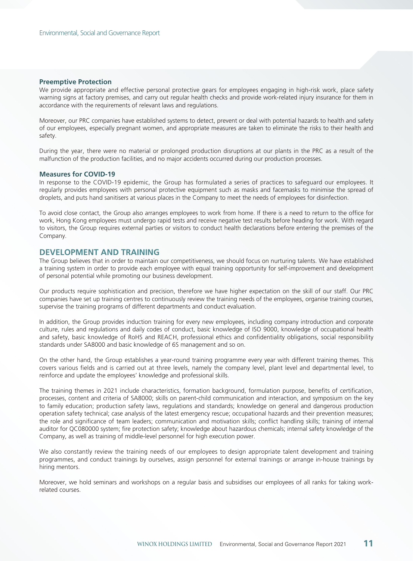#### **Preemptive Protection**

We provide appropriate and effective personal protective gears for employees engaging in high-risk work, place safety warning signs at factory premises, and carry out regular health checks and provide work-related injury insurance for them in accordance with the requirements of relevant laws and regulations.

Moreover, our PRC companies have established systems to detect, prevent or deal with potential hazards to health and safety of our employees, especially pregnant women, and appropriate measures are taken to eliminate the risks to their health and safety.

During the year, there were no material or prolonged production disruptions at our plants in the PRC as a result of the malfunction of the production facilities, and no major accidents occurred during our production processes.

#### **Measures for COVID-19**

In response to the COVID-19 epidemic, the Group has formulated a series of practices to safeguard our employees. It regularly provides employees with personal protective equipment such as masks and facemasks to minimise the spread of droplets, and puts hand sanitisers at various places in the Company to meet the needs of employees for disinfection.

To avoid close contact, the Group also arranges employees to work from home. If there is a need to return to the office for work, Hong Kong employees must undergo rapid tests and receive negative test results before heading for work. With regard to visitors, the Group requires external parties or visitors to conduct health declarations before entering the premises of the Company.

## **DEVELOPMENT AND TRAINING**

The Group believes that in order to maintain our competitiveness, we should focus on nurturing talents. We have established a training system in order to provide each employee with equal training opportunity for self-improvement and development of personal potential while promoting our business development.

Our products require sophistication and precision, therefore we have higher expectation on the skill of our staff. Our PRC companies have set up training centres to continuously review the training needs of the employees, organise training courses, supervise the training programs of different departments and conduct evaluation.

In addition, the Group provides induction training for every new employees, including company introduction and corporate culture, rules and regulations and daily codes of conduct, basic knowledge of ISO 9000, knowledge of occupational health and safety, basic knowledge of RoHS and REACH, professional ethics and confidentiality obligations, social responsibility standards under SA8000 and basic knowledge of 6S management and so on.

On the other hand, the Group establishes a year-round training programme every year with different training themes. This covers various fields and is carried out at three levels, namely the company level, plant level and departmental level, to reinforce and update the employees' knowledge and professional skills.

The training themes in 2021 include characteristics, formation background, formulation purpose, benefits of certification, processes, content and criteria of SA8000; skills on parent-child communication and interaction, and symposium on the key to family education; production safety laws, regulations and standards; knowledge on general and dangerous production operation safety technical; case analysis of the latest emergency rescue; occupational hazards and their prevention measures; the role and significance of team leaders; communication and motivation skills; conflict handling skills; training of internal auditor for QC080000 system; fire protection safety; knowledge about hazardous chemicals; internal safety knowledge of the Company, as well as training of middle-level personnel for high execution power.

We also constantly review the training needs of our employees to design appropriate talent development and training programmes, and conduct trainings by ourselves, assign personnel for external trainings or arrange in-house trainings by hiring mentors.

Moreover, we hold seminars and workshops on a regular basis and subsidises our employees of all ranks for taking workrelated courses.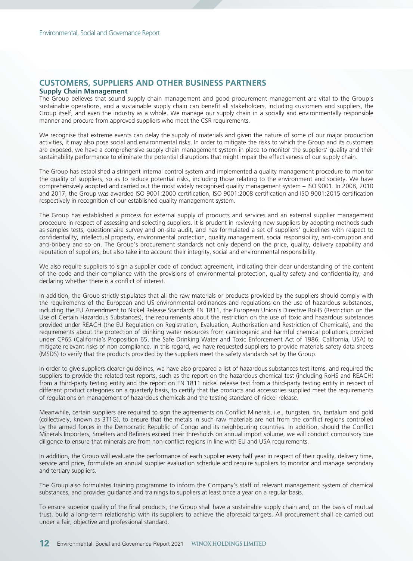## **CUSTOMERS, SUPPLIERS AND OTHER BUSINESS PARTNERS**

### **Supply Chain Management**

The Group believes that sound supply chain management and good procurement management are vital to the Group's sustainable operations, and a sustainable supply chain can benefit all stakeholders, including customers and suppliers, the Group itself, and even the industry as a whole. We manage our supply chain in a socially and environmentally responsible manner and procure from approved suppliers who meet the CSR requirements.

We recognise that extreme events can delay the supply of materials and given the nature of some of our major production activities, it may also pose social and environmental risks. In order to mitigate the risks to which the Group and its customers are exposed, we have a comprehensive supply chain management system in place to monitor the suppliers' quality and their sustainability performance to eliminate the potential disruptions that might impair the effectiveness of our supply chain.

The Group has established a stringent internal control system and implemented a quality management procedure to monitor the quality of suppliers, so as to reduce potential risks, including those relating to the environment and society. We have comprehensively adopted and carried out the most widely recognised quality management system – ISO 9001. In 2008, 2010 and 2017, the Group was awarded ISO 9001:2000 certification, ISO 9001:2008 certification and ISO 9001:2015 certification respectively in recognition of our established quality management system.

The Group has established a process for external supply of products and services and an external supplier management procedure in respect of assessing and selecting suppliers. It is prudent in reviewing new suppliers by adopting methods such as samples tests, questionnaire survey and on-site audit, and has formulated a set of suppliers' guidelines with respect to confidentiality, intellectual property, environmental protection, quality management, social responsibility, anti-corruption and anti-bribery and so on. The Group's procurement standards not only depend on the price, quality, delivery capability and reputation of suppliers, but also take into account their integrity, social and environmental responsibility.

We also require suppliers to sign a supplier code of conduct agreement, indicating their clear understanding of the content of the code and their compliance with the provisions of environmental protection, quality safety and confidentiality, and declaring whether there is a conflict of interest.

In addition, the Group strictly stipulates that all the raw materials or products provided by the suppliers should comply with the requirements of the European and US environmental ordinances and regulations on the use of hazardous substances, including the EU Amendment to Nickel Release Standards EN 1811, the European Union's Directive RoHS (Restriction on the Use of Certain Hazardous Substances), the requirements about the restriction on the use of toxic and hazardous substances provided under REACH (the EU Regulation on Registration, Evaluation, Authorisation and Restriction of Chemicals), and the requirements about the protection of drinking water resources from carcinogenic and harmful chemical pollutions provided under CP65 (California's Proposition 65, the Safe Drinking Water and Toxic Enforcement Act of 1986, California, USA) to mitigate relevant risks of non-compliance. In this regard, we have requested suppliers to provide materials safety data sheets (MSDS) to verify that the products provided by the suppliers meet the safety standards set by the Group.

In order to give suppliers clearer guidelines, we have also prepared a list of hazardous substances test items, and required the suppliers to provide the related test reports, such as the report on the hazardous chemical test (including RoHS and REACH) from a third-party testing entity and the report on EN 1811 nickel release test from a third-party testing entity in respect of different product categories on a quarterly basis, to certify that the products and accessories supplied meet the requirements of regulations on management of hazardous chemicals and the testing standard of nickel release.

Meanwhile, certain suppliers are required to sign the agreements on Conflict Minerals, i.e., tungsten, tin, tantalum and gold (collectively, known as 3T1G), to ensure that the metals in such raw materials are not from the conflict regions controlled by the armed forces in the Democratic Republic of Congo and its neighbouring countries. In addition, should the Conflict Minerals Importers, Smelters and Refiners exceed their thresholds on annual import volume, we will conduct compulsory due diligence to ensure that minerals are from non-conflict regions in line with EU and USA requirements.

In addition, the Group will evaluate the performance of each supplier every half year in respect of their quality, delivery time, service and price, formulate an annual supplier evaluation schedule and require suppliers to monitor and manage secondary and tertiary suppliers.

The Group also formulates training programme to inform the Company's staff of relevant management system of chemical substances, and provides guidance and trainings to suppliers at least once a year on a regular basis.

To ensure superior quality of the final products, the Group shall have a sustainable supply chain and, on the basis of mutual trust, build a long-term relationship with its suppliers to achieve the aforesaid targets. All procurement shall be carried out under a fair, objective and professional standard.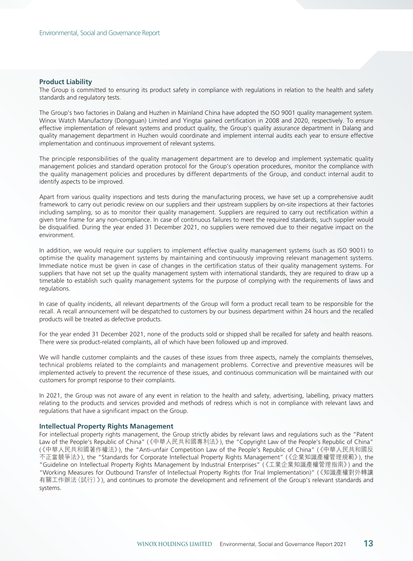#### **Product Liability**

The Group is committed to ensuring its product safety in compliance with regulations in relation to the health and safety standards and regulatory tests.

The Group's two factories in Dalang and Huzhen in Mainland China have adopted the ISO 9001 quality management system. Winox Watch Manufactory (Dongguan) Limited and Yingtai gained certification in 2008 and 2020, respectively. To ensure effective implementation of relevant systems and product quality, the Group's quality assurance department in Dalang and quality management department in Huzhen would coordinate and implement internal audits each year to ensure effective implementation and continuous improvement of relevant systems.

The principle responsibilities of the quality management department are to develop and implement systematic quality management policies and standard operation protocol for the Group's operation procedures, monitor the compliance with the quality management policies and procedures by different departments of the Group, and conduct internal audit to identify aspects to be improved.

Apart from various quality inspections and tests during the manufacturing process, we have set up a comprehensive audit framework to carry out periodic review on our suppliers and their upstream suppliers by on-site inspections at their factories including sampling, so as to monitor their quality management. Suppliers are required to carry out rectification within a given time frame for any non-compliance. In case of continuous failures to meet the required standards, such supplier would be disqualified. During the year ended 31 December 2021, no suppliers were removed due to their negative impact on the environment.

In addition, we would require our suppliers to implement effective quality management systems (such as ISO 9001) to optimise the quality management systems by maintaining and continuously improving relevant management systems. Immediate notice must be given in case of changes in the certification status of their quality management systems. For suppliers that have not set up the quality management system with international standards, they are required to draw up a timetable to establish such quality management systems for the purpose of complying with the requirements of laws and regulations.

In case of quality incidents, all relevant departments of the Group will form a product recall team to be responsible for the recall. A recall announcement will be despatched to customers by our business department within 24 hours and the recalled products will be treated as defective products.

For the year ended 31 December 2021, none of the products sold or shipped shall be recalled for safety and health reasons. There were six product-related complaints, all of which have been followed up and improved.

We will handle customer complaints and the causes of these issues from three aspects, namely the complaints themselves, technical problems related to the complaints and management problems. Corrective and preventive measures will be implemented actively to prevent the recurrence of these issues, and continuous communication will be maintained with our customers for prompt response to their complaints.

In 2021, the Group was not aware of any event in relation to the health and safety, advertising, labelling, privacy matters relating to the products and services provided and methods of redress which is not in compliance with relevant laws and regulations that have a significant impact on the Group.

#### **Intellectual Property Rights Management**

For intellectual property rights management, the Group strictly abides by relevant laws and regulations such as the "Patent Law of the People's Republic of China" (《中華人民共和國專利法》), the "Copyright Law of the People's Republic of China" (《中華人民共和國著作權法》), the "Anti-unfair Competition Law of the People's Republic of China" (《中華人民共和國反 不正當競爭法》), the "Standards for Corporate Intellectual Property Rights Management" (《企業知識產權管理規範》), the "Guideline on Intellectual Property Rights Management by Industrial Enterprises" (《工業企業知識產權管理指南》) and the "Working Measures for Outbound Transfer of Intellectual Property Rights (for Trial Implementation)" (《知識產權對外轉讓 有關工作辦法(試行)》), and continues to promote the development and refinement of the Group's relevant standards and systems.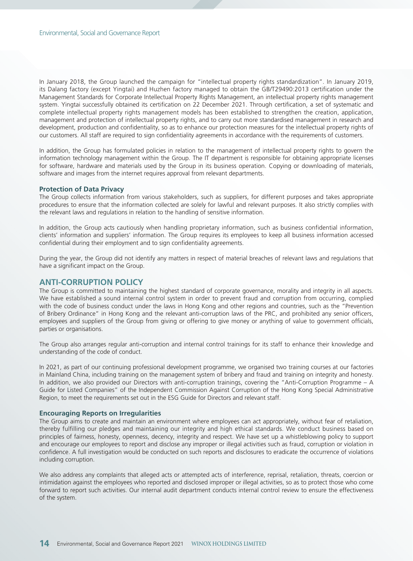In January 2018, the Group launched the campaign for "intellectual property rights standardization". In January 2019, its Dalang factory (except Yingtai) and Huzhen factory managed to obtain the GB/T29490:2013 certification under the Management Standards for Corporate Intellectual Property Rights Management, an intellectual property rights management system. Yingtai successfully obtained its certification on 22 December 2021. Through certification, a set of systematic and complete intellectual property rights management models has been established to strengthen the creation, application, management and protection of intellectual property rights, and to carry out more standardised management in research and development, production and confidentiality, so as to enhance our protection measures for the intellectual property rights of our customers. All staff are required to sign confidentiality agreements in accordance with the requirements of customers.

In addition, the Group has formulated policies in relation to the management of intellectual property rights to govern the information technology management within the Group. The IT department is responsible for obtaining appropriate licenses for software, hardware and materials used by the Group in its business operation. Copying or downloading of materials, software and images from the internet requires approval from relevant departments.

#### **Protection of Data Privacy**

The Group collects information from various stakeholders, such as suppliers, for different purposes and takes appropriate procedures to ensure that the information collected are solely for lawful and relevant purposes. It also strictly complies with the relevant laws and regulations in relation to the handling of sensitive information.

In addition, the Group acts cautiously when handling proprietary information, such as business confidential information, clients' information and suppliers' information. The Group requires its employees to keep all business information accessed confidential during their employment and to sign confidentiality agreements.

During the year, the Group did not identify any matters in respect of material breaches of relevant laws and regulations that have a significant impact on the Group.

## **ANTI-CORRUPTION POLICY**

The Group is committed to maintaining the highest standard of corporate governance, morality and integrity in all aspects. We have established a sound internal control system in order to prevent fraud and corruption from occurring, complied with the code of business conduct under the laws in Hong Kong and other regions and countries, such as the "Prevention of Bribery Ordinance" in Hong Kong and the relevant anti-corruption laws of the PRC, and prohibited any senior officers, employees and suppliers of the Group from giving or offering to give money or anything of value to government officials, parties or organisations.

The Group also arranges regular anti-corruption and internal control trainings for its staff to enhance their knowledge and understanding of the code of conduct.

In 2021, as part of our continuing professional development programme, we organised two training courses at our factories in Mainland China, including training on the management system of bribery and fraud and training on integrity and honesty. In addition, we also provided our Directors with anti-corruption trainings, covering the "Anti-Corruption Programme – A Guide for Listed Companies" of the Independent Commission Against Corruption of the Hong Kong Special Administrative Region, to meet the requirements set out in the ESG Guide for Directors and relevant staff.

#### **Encouraging Reports on Irregularities**

The Group aims to create and maintain an environment where employees can act appropriately, without fear of retaliation, thereby fulfilling our pledges and maintaining our integrity and high ethical standards. We conduct business based on principles of fairness, honesty, openness, decency, integrity and respect. We have set up a whistleblowing policy to support and encourage our employees to report and disclose any improper or illegal activities such as fraud, corruption or violation in confidence. A full investigation would be conducted on such reports and disclosures to eradicate the occurrence of violations including corruption.

We also address any complaints that alleged acts or attempted acts of interference, reprisal, retaliation, threats, coercion or intimidation against the employees who reported and disclosed improper or illegal activities, so as to protect those who come forward to report such activities. Our internal audit department conducts internal control review to ensure the effectiveness of the system.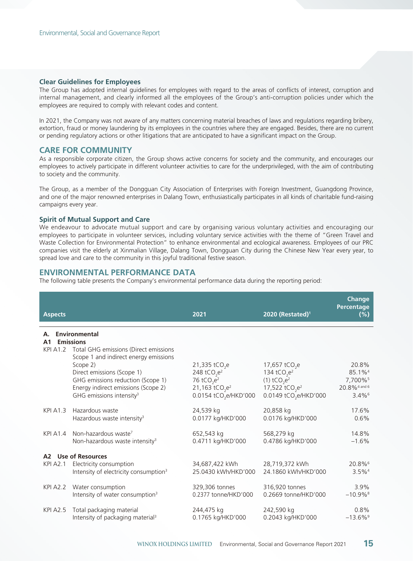### **Clear Guidelines for Employees**

The Group has adopted internal guidelines for employees with regard to the areas of conflicts of interest, corruption and internal management, and clearly informed all the employees of the Group's anti-corruption policies under which the employees are required to comply with relevant codes and content.

In 2021, the Company was not aware of any matters concerning material breaches of laws and regulations regarding bribery, extortion, fraud or money laundering by its employees in the countries where they are engaged. Besides, there are no current or pending regulatory actions or other litigations that are anticipated to have a significant impact on the Group.

## **CARE FOR COMMUNITY**

As a responsible corporate citizen, the Group shows active concerns for society and the community, and encourages our employees to actively participate in different volunteer activities to care for the underprivileged, with the aim of contributing to society and the community.

The Group, as a member of the Dongguan City Association of Enterprises with Foreign Investment, Guangdong Province, and one of the major renowned enterprises in Dalang Town, enthusiastically participates in all kinds of charitable fund-raising campaigns every year.

#### **Spirit of Mutual Support and Care**

We endeavour to advocate mutual support and care by organising various voluntary activities and encouraging our employees to participate in volunteer services, including voluntary service activities with the theme of "Green Travel and Waste Collection for Environmental Protection" to enhance environmental and ecological awareness. Employees of our PRC companies visit the elderly at Xinmalian Village, Dalang Town, Dongguan City during the Chinese New Year every year, to spread love and care to the community in this joyful traditional festive season.

## **ENVIRONMENTAL PERFORMANCE DATA**

The following table presents the Company's environmental performance data during the reporting period:

| <b>Aspects</b>       |                                                                                                                                                                                                                                                                                                   | 2021                                                                                                                                           | 2020 (Restated) <sup>1</sup>                                                                                                                                           | Change<br>Percentage<br>(%)                                                               |
|----------------------|---------------------------------------------------------------------------------------------------------------------------------------------------------------------------------------------------------------------------------------------------------------------------------------------------|------------------------------------------------------------------------------------------------------------------------------------------------|------------------------------------------------------------------------------------------------------------------------------------------------------------------------|-------------------------------------------------------------------------------------------|
| Α.<br>A <sub>1</sub> | <b>Environmental</b><br><b>Emissions</b><br>KPI A1.2 Total GHG emissions (Direct emissions<br>Scope 1 and indirect energy emissions<br>Scope 2)<br>Direct emissions (Scope 1)<br>GHG emissions reduction (Scope 1)<br>Energy indirect emissions (Scope 2)<br>GHG emissions intensity <sup>3</sup> | 21,335 tCO <sub>2</sub> e<br>248 tCO <sub>2</sub> $e^2$<br>76 tCO <sub>2</sub> $e^2$<br>21,163 $tCO_2e^2$<br>0.0154 tCO <sub>2</sub> e/HKD'000 | 17,657 tCO <sub>2</sub> e<br>134 tCO <sub>2</sub> $e^2$<br>$(1)$ tCO <sub>2</sub> $e^2$<br>17,522 tCO <sub>2</sub> e <sup>2</sup><br>0.0149 tCO <sub>2</sub> e/HKD'000 | 20.8%<br>85.1% <sup>4</sup><br>7,700%<br>20.8% <sup>4</sup> and 6<br>$3.4\%$ <sup>6</sup> |
| <b>KPI A1.3</b>      | Hazardous waste                                                                                                                                                                                                                                                                                   | 24,539 kg                                                                                                                                      | 20,858 kg                                                                                                                                                              | 17.6%                                                                                     |
|                      | Hazardous waste intensity <sup>3</sup>                                                                                                                                                                                                                                                            | 0.0177 kg/HKD'000                                                                                                                              | 0.0176 kg/HKD'000                                                                                                                                                      | 0.6%                                                                                      |
|                      | KPI A1.4 Non-hazardous waste <sup>7</sup>                                                                                                                                                                                                                                                         | 652,543 kg                                                                                                                                     | 568,279 kg                                                                                                                                                             | 14.8%                                                                                     |
|                      | Non-hazardous waste intensity <sup>3</sup>                                                                                                                                                                                                                                                        | 0.4711 kg/HKD'000                                                                                                                              | 0.4786 kg/HKD'000                                                                                                                                                      | $-1.6%$                                                                                   |
| KPI A2.1             | A2 Use of Resources<br>Electricity consumption<br>Intensity of electricity consumption <sup>3</sup>                                                                                                                                                                                               | 34,687,422 kWh<br>25.0430 kWh/HKD'000                                                                                                          | 28,719,372 kWh<br>24.1860 kWh/HKD'000                                                                                                                                  | 20.8%<br>$3.5\%$ <sup>4</sup>                                                             |
|                      | KPI A2.2 Water consumption                                                                                                                                                                                                                                                                        | 329,306 tonnes                                                                                                                                 | 316,920 tonnes                                                                                                                                                         | 3.9%                                                                                      |
|                      | Intensity of water consumption <sup>3</sup>                                                                                                                                                                                                                                                       | 0.2377 tonne/HKD'000                                                                                                                           | 0.2669 tonne/HKD'000                                                                                                                                                   | $-10.9%$ <sup>8</sup>                                                                     |
| <b>KPI A2.5</b>      | Total packaging material                                                                                                                                                                                                                                                                          | 244,475 kg                                                                                                                                     | 242,590 kg                                                                                                                                                             | 0.8%                                                                                      |
|                      | Intensity of packaging material <sup>3</sup>                                                                                                                                                                                                                                                      | 0.1765 kg/HKD'000                                                                                                                              | 0.2043 kg/HKD'000                                                                                                                                                      | $-13.6\%$ <sup>9</sup>                                                                    |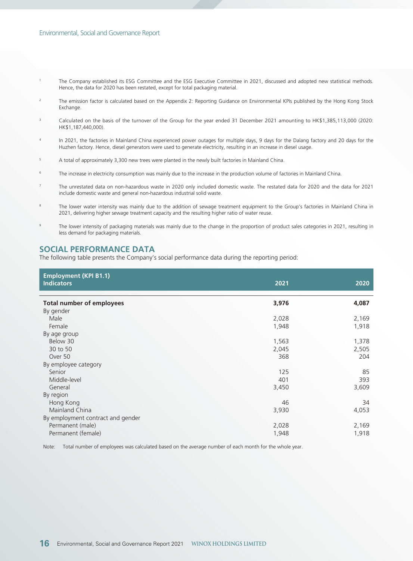- 1 The Company established its ESG Committee and the ESG Executive Committee in 2021, discussed and adopted new statistical methods. Hence, the data for 2020 has been restated, except for total packaging material.
- 2 The emission factor is calculated based on the Appendix 2: Reporting Guidance on Environmental KPIs published by the Hong Kong Stock Exchange.
- 3 Calculated on the basis of the turnover of the Group for the year ended 31 December 2021 amounting to HK\$1,385,113,000 (2020: HK\$1,187,440,000).
- 4 In 2021, the factories in Mainland China experienced power outages for multiple days, 9 days for the Dalang factory and 20 days for the Huzhen factory. Hence, diesel generators were used to generate electricity, resulting in an increase in diesel usage.
- 5 A total of approximately 3,300 new trees were planted in the newly built factories in Mainland China.
- 6 The increase in electricity consumption was mainly due to the increase in the production volume of factories in Mainland China.
- 7 The unrestated data on non-hazardous waste in 2020 only included domestic waste. The restated data for 2020 and the data for 2021 include domestic waste and general non-hazardous industrial solid waste.
- 8 The lower water intensity was mainly due to the addition of sewage treatment equipment to the Group's factories in Mainland China in 2021, delivering higher sewage treatment capacity and the resulting higher ratio of water reuse.
- $\circ$  The lower intensity of packaging materials was mainly due to the change in the proportion of product sales categories in 2021, resulting in less demand for packaging materials.

## **SOCIAL PERFORMANCE DATA**

The following table presents the Company's social performance data during the reporting period:

| <b>Employment (KPI B1.1)</b><br><b>Indicators</b> | 2021  | 2020  |
|---------------------------------------------------|-------|-------|
|                                                   |       |       |
| <b>Total number of employees</b>                  | 3,976 | 4,087 |
| By gender                                         |       |       |
| Male                                              | 2,028 | 2,169 |
| Female                                            | 1,948 | 1,918 |
| By age group                                      |       |       |
| Below 30                                          | 1,563 | 1,378 |
| 30 to 50                                          | 2,045 | 2,505 |
| Over 50                                           | 368   | 204   |
| By employee category                              |       |       |
| Senior                                            | 125   | 85    |
| Middle-level                                      | 401   | 393   |
| General                                           | 3,450 | 3,609 |
| By region                                         |       |       |
| Hong Kong                                         | 46    | 34    |
| Mainland China                                    | 3,930 | 4,053 |
| By employment contract and gender                 |       |       |
| Permanent (male)                                  | 2,028 | 2,169 |
| Permanent (female)                                | 1,948 | 1,918 |
|                                                   |       |       |

Note: Total number of employees was calculated based on the average number of each month for the whole year.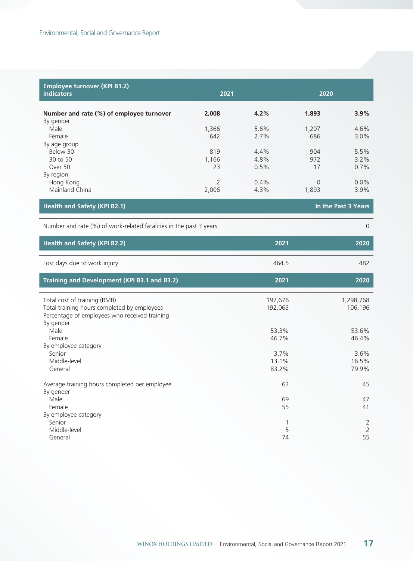| <b>Employee turnover (KPI B1.2)</b>                                |              |              |              |                     |
|--------------------------------------------------------------------|--------------|--------------|--------------|---------------------|
| <b>Indicators</b>                                                  | 2021         |              | 2020         |                     |
| Number and rate (%) of employee turnover                           | 2,008        | 4.2%         | 1,893        | 3.9%                |
| By gender                                                          |              |              |              |                     |
| Male<br>Female                                                     | 1,366<br>642 | 5.6%<br>2.7% | 1,207<br>686 | 4.6%                |
| By age group                                                       |              |              |              | 3.0%                |
| Below 30                                                           | 819          | 4.4%         | 904          | 5.5%                |
| 30 to 50                                                           | 1,166        | 4.8%         | 972          | 3.2%                |
| Over 50                                                            | 23           | 0.5%         | 17           | 0.7%                |
| By region                                                          |              |              |              |                     |
| Hong Kong                                                          | 2            | 0.4%         | $\mathbf 0$  | 0.0%                |
| Mainland China                                                     | 2,006        | 4.3%         | 1,893        | 3.9%                |
| <b>Health and Safety (KPI B2.1)</b>                                |              |              |              | In the Past 3 Years |
| Number and rate (%) of work-related fatalities in the past 3 years |              |              |              | $\mathbf{0}$        |
| <b>Health and Safety (KPI B2.2)</b>                                |              | 2021         |              | 2020                |
| Lost days due to work injury                                       |              | 464.5        |              | 482                 |
| Training and Development (KPI B3.1 and B3.2)                       |              | 2021         |              | 2020                |
| Total cost of training (RMB)                                       |              | 197,676      |              | 1,298,768           |
| Total training hours completed by employees                        |              | 192,063      |              | 106,196             |
| Percentage of employees who received training<br>By gender         |              |              |              |                     |
| Male                                                               |              | 53.3%        |              | 53.6%               |
| Female                                                             |              | 46.7%        |              | 46.4%               |
| By employee category                                               |              |              |              |                     |
| Senior                                                             |              | 3.7%         |              | 3.6%                |
| Middle-level                                                       |              | 13.1%        |              | 16.5%               |
| General                                                            |              | 83.2%        |              | 79.9%               |
| Average training hours completed per employee<br>By gender         |              | 63           |              | 45                  |
| Male                                                               |              | 69           |              | 47                  |
| Female                                                             |              | 55           |              | 41                  |
| By employee category                                               |              |              |              |                     |
| Senior                                                             |              | 1            |              | $\overline{2}$      |
| Middle-level                                                       |              | 5            |              | $\overline{2}$      |
| General                                                            |              | 74           |              | 55                  |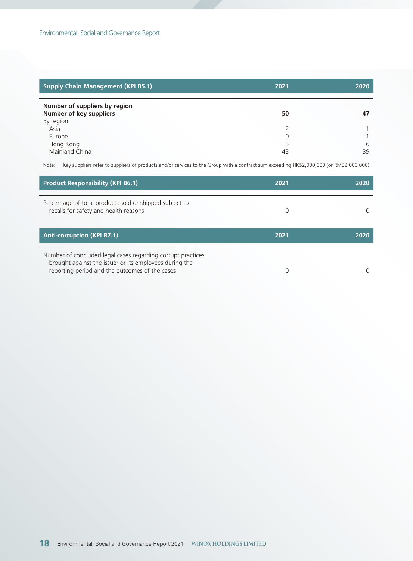| <b>Supply Chain Management (KPI B5.1)</b>                | 2021 | 2020    |
|----------------------------------------------------------|------|---------|
| Number of suppliers by region<br>Number of key suppliers | 50   | 47      |
| By region<br>Asia                                        |      |         |
| Europe                                                   |      |         |
| Hong Kong<br>Mainland China                              | 43   | 6<br>39 |

Note: Key suppliers refer to suppliers of products and/or services to the Group with a contract sum exceeding HK\$2,000,000 (or RMB2,000,000).

| <b>Product Responsibility (KPI B6.1)</b>                                                                                                                                | 2021 | 2020 |
|-------------------------------------------------------------------------------------------------------------------------------------------------------------------------|------|------|
| Percentage of total products sold or shipped subject to<br>recalls for safety and health reasons                                                                        |      |      |
| <b>Anti-corruption (KPI B7.1)</b>                                                                                                                                       | 2021 | 2020 |
| Number of concluded legal cases regarding corrupt practices<br>brought against the issuer or its employees during the<br>reporting period and the outcomes of the cases |      |      |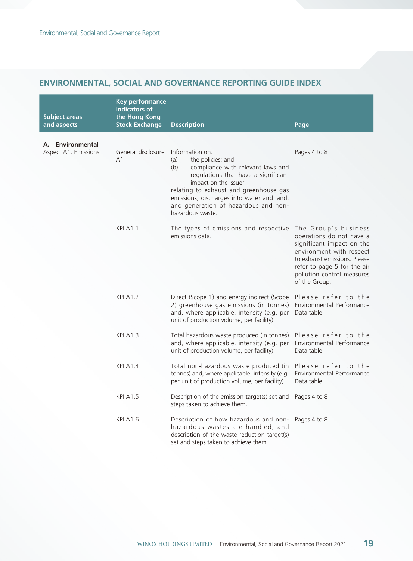## **ENVIRONMENTAL, SOCIAL AND GOVERNANCE REPORTING GUIDE INDEX**

| <b>Subject areas</b><br>and aspects      | <b>Key performance</b><br>indicators of<br>the Hong Kong<br><b>Stock Exchange</b> | <b>Description</b>                                                                                                                                                                                                                                                                                         | Page                                                                                                                                                                                                                    |
|------------------------------------------|-----------------------------------------------------------------------------------|------------------------------------------------------------------------------------------------------------------------------------------------------------------------------------------------------------------------------------------------------------------------------------------------------------|-------------------------------------------------------------------------------------------------------------------------------------------------------------------------------------------------------------------------|
| A. Environmental<br>Aspect A1: Emissions | General disclosure<br>A <sub>1</sub>                                              | Information on:<br>the policies; and<br>(a)<br>(b)<br>compliance with relevant laws and<br>regulations that have a significant<br>impact on the issuer<br>relating to exhaust and greenhouse gas<br>emissions, discharges into water and land,<br>and generation of hazardous and non-<br>hazardous waste. | Pages 4 to 8                                                                                                                                                                                                            |
|                                          | <b>KPI A1.1</b>                                                                   | The types of emissions and respective<br>emissions data.                                                                                                                                                                                                                                                   | The Group's business<br>operations do not have a<br>significant impact on the<br>environment with respect<br>to exhaust emissions. Please<br>refer to page 5 for the air<br>pollution control measures<br>of the Group. |
|                                          | <b>KPI A1.2</b>                                                                   | Direct (Scope 1) and energy indirect (Scope<br>2) greenhouse gas emissions (in tonnes)<br>and, where applicable, intensity (e.g. per<br>unit of production volume, per facility).                                                                                                                          | Please refer to the<br>Environmental Performance<br>Data table                                                                                                                                                          |
|                                          | KPI A1.3                                                                          | Total hazardous waste produced (in tonnes)<br>and, where applicable, intensity (e.g. per<br>unit of production volume, per facility).                                                                                                                                                                      | Please refer to the<br>Environmental Performance<br>Data table                                                                                                                                                          |
|                                          | <b>KPI A1.4</b>                                                                   | Total non-hazardous waste produced (in<br>tonnes) and, where applicable, intensity (e.g.<br>per unit of production volume, per facility).                                                                                                                                                                  | Please refer to the<br>Environmental Performance<br>Data table                                                                                                                                                          |
|                                          | <b>KPI A1.5</b>                                                                   | Description of the emission target(s) set and<br>steps taken to achieve them.                                                                                                                                                                                                                              | Pages 4 to 8                                                                                                                                                                                                            |
|                                          | <b>KPI A1.6</b>                                                                   | Description of how hazardous and non-<br>hazardous wastes are handled, and<br>description of the waste reduction target(s)<br>set and steps taken to achieve them.                                                                                                                                         | Pages 4 to 8                                                                                                                                                                                                            |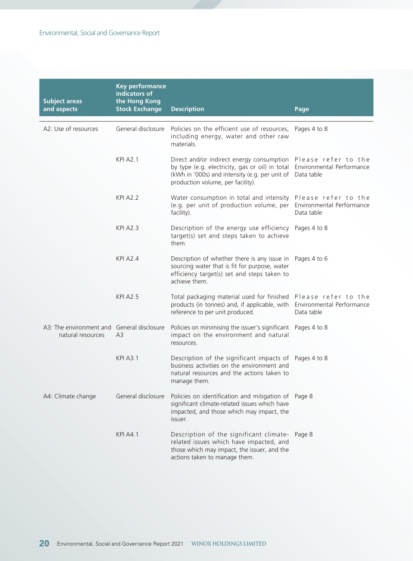| <b>Subject areas</b>                                            | <b>Key performance</b><br>indicators of<br>the Hong Kong |                                                                                                                                                                                                                                              |              |
|-----------------------------------------------------------------|----------------------------------------------------------|----------------------------------------------------------------------------------------------------------------------------------------------------------------------------------------------------------------------------------------------|--------------|
| and aspects                                                     | <b>Stock Exchange</b>                                    | <b>Description</b>                                                                                                                                                                                                                           | Page         |
| A2: Use of resources                                            |                                                          | General disclosure  Policies on the efficient use of resources,  Pages 4 to 8<br>including energy, water and other raw<br>materials.                                                                                                         |              |
|                                                                 | <b>KPI A2.1</b>                                          | Direct and/or indirect energy consumption Please refer to the<br>by type (e.g. electricity, gas or oil) in total Environmental Performance<br>(kWh in '000s) and intensity (e.g. per unit of Data table<br>production volume, per facility). |              |
|                                                                 | <b>KPI A2.2</b>                                          | Water consumption in total and intensity Please refer to the<br>(e.g. per unit of production volume, per Environmental Performance<br>facility).                                                                                             | Data table   |
|                                                                 | <b>KPI A2.3</b>                                          | Description of the energy use efficiency<br>target(s) set and steps taken to achieve<br>them.                                                                                                                                                | Pages 4 to 8 |
|                                                                 | <b>KPI A2.4</b>                                          | Description of whether there is any issue in Pages 4 to 6<br>sourcing water that is fit for purpose, water<br>efficiency target(s) set and steps taken to<br>achieve them.                                                                   |              |
|                                                                 | <b>KPI A2.5</b>                                          | Total packaging material used for finished Please refer to the<br>products (in tonnes) and, if applicable, with Environmental Performance<br>reference to per unit produced.                                                                 | Data table   |
| A3: The environment and General disclosure<br>natural resources | A3                                                       | Policies on minimising the issuer's significant Pages 4 to 8<br>impact on the environment and natural<br>resources.                                                                                                                          |              |
|                                                                 | <b>KPI A3.1</b>                                          | Description of the significant impacts of Pages 4 to 8<br>business activities on the environment and<br>natural resources and the actions taken to<br>manage them.                                                                           |              |
| A4: Climate change                                              | General disclosure                                       | Policies on identification and mitigation of Page 8<br>significant climate-related issues which have<br>impacted, and those which may impact, the<br>issuer.                                                                                 |              |
|                                                                 | <b>KPI A4.1</b>                                          | Description of the significant climate-<br>related issues which have impacted, and<br>those which may impact, the issuer, and the<br>actions taken to manage them.                                                                           | Page 8       |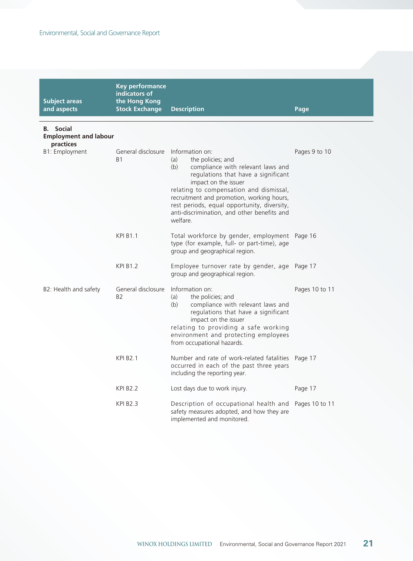| <b>Subject areas</b><br>and aspects                           | <b>Key performance</b><br>indicators of<br>the Hong Kong<br><b>Stock Exchange</b> | <b>Description</b>                                                                                                                                                                                                                                                                                                                                       | Page           |
|---------------------------------------------------------------|-----------------------------------------------------------------------------------|----------------------------------------------------------------------------------------------------------------------------------------------------------------------------------------------------------------------------------------------------------------------------------------------------------------------------------------------------------|----------------|
| <b>B.</b> Social<br><b>Employment and labour</b><br>practices |                                                                                   |                                                                                                                                                                                                                                                                                                                                                          |                |
| B1: Employment                                                | General disclosure<br><b>B1</b>                                                   | Information on:<br>the policies; and<br>(a)<br>(b)<br>compliance with relevant laws and<br>regulations that have a significant<br>impact on the issuer<br>relating to compensation and dismissal,<br>recruitment and promotion, working hours,<br>rest periods, equal opportunity, diversity,<br>anti-discrimination, and other benefits and<br>welfare. | Pages 9 to 10  |
|                                                               | <b>KPI B1.1</b>                                                                   | Total workforce by gender, employment Page 16<br>type (for example, full- or part-time), age<br>group and geographical region.                                                                                                                                                                                                                           |                |
|                                                               | <b>KPI B1.2</b>                                                                   | Employee turnover rate by gender, age Page 17<br>group and geographical region.                                                                                                                                                                                                                                                                          |                |
| B2: Health and safety                                         | General disclosure<br>B <sub>2</sub>                                              | Information on:<br>the policies; and<br>(a)<br>(b)<br>compliance with relevant laws and<br>regulations that have a significant<br>impact on the issuer<br>relating to providing a safe working<br>environment and protecting employees<br>from occupational hazards.                                                                                     | Pages 10 to 11 |
|                                                               | <b>KPI B2.1</b>                                                                   | Number and rate of work-related fatalities<br>occurred in each of the past three years<br>including the reporting year.                                                                                                                                                                                                                                  | Page 17        |
|                                                               | <b>KPI B2.2</b>                                                                   | Lost days due to work injury.                                                                                                                                                                                                                                                                                                                            | Page 17        |
|                                                               | <b>KPI B2.3</b>                                                                   | Description of occupational health and<br>safety measures adopted, and how they are<br>implemented and monitored.                                                                                                                                                                                                                                        | Pages 10 to 11 |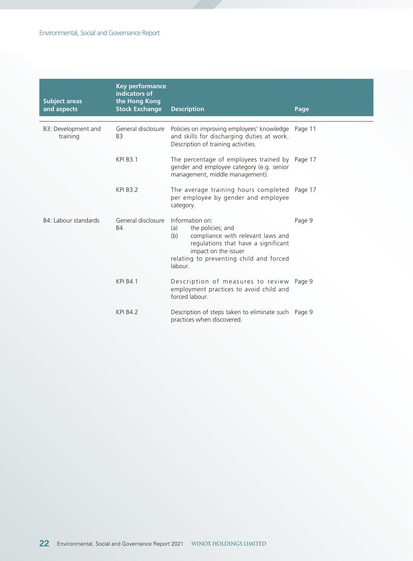| <b>Subject areas</b><br>and aspects | <b>Key performance</b><br>indicators of<br>the Hong Kong<br><b>Stock Exchange</b> | <b>Description</b>                                                                                                                                                                                           | Page   |
|-------------------------------------|-----------------------------------------------------------------------------------|--------------------------------------------------------------------------------------------------------------------------------------------------------------------------------------------------------------|--------|
| B3: Development and<br>training     | General disclosure<br>B <sub>3</sub>                                              | Policies on improving employees' knowledge Page 11<br>and skills for discharging duties at work.<br>Description of training activities.                                                                      |        |
|                                     | <b>KPI B3.1</b>                                                                   | The percentage of employees trained by Page 17<br>gender and employee category (e.g. senior<br>management, middle management).                                                                               |        |
|                                     | <b>KPI B3.2</b>                                                                   | The average training hours completed Page 17<br>per employee by gender and employee<br>category.                                                                                                             |        |
| B4: Labour standards                | General disclosure<br><b>B4</b>                                                   | Information on:<br>the policies; and<br>(a)<br>compliance with relevant laws and<br>(b)<br>regulations that have a significant<br>impact on the issuer<br>relating to preventing child and forced<br>labour. | Page 9 |
|                                     | <b>KPI B4.1</b>                                                                   | Description of measures to review Page 9<br>employment practices to avoid child and<br>forced labour.                                                                                                        |        |
|                                     | <b>KPI B4.2</b>                                                                   | Description of steps taken to eliminate such Page 9<br>practices when discovered.                                                                                                                            |        |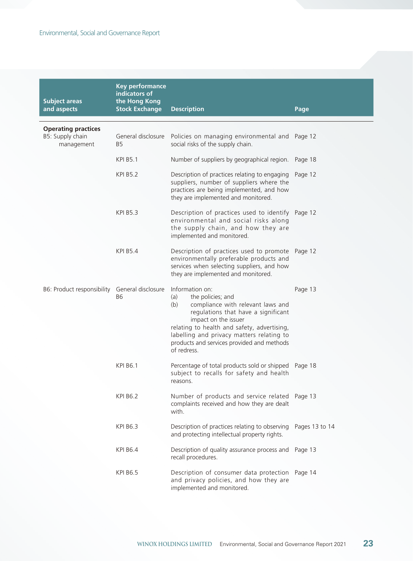| <b>Subject areas</b><br>and aspects                          | <b>Key performance</b><br>indicators of<br>the Hong Kong<br><b>Stock Exchange</b> | <b>Description</b>                                                                                                                                                                                                                                                                                              | Page           |
|--------------------------------------------------------------|-----------------------------------------------------------------------------------|-----------------------------------------------------------------------------------------------------------------------------------------------------------------------------------------------------------------------------------------------------------------------------------------------------------------|----------------|
|                                                              |                                                                                   |                                                                                                                                                                                                                                                                                                                 |                |
| <b>Operating practices</b><br>B5: Supply chain<br>management | General disclosure<br>B5                                                          | Policies on managing environmental and Page 12<br>social risks of the supply chain.                                                                                                                                                                                                                             |                |
|                                                              | <b>KPI B5.1</b>                                                                   | Number of suppliers by geographical region.                                                                                                                                                                                                                                                                     | Page 18        |
|                                                              | <b>KPI B5.2</b>                                                                   | Description of practices relating to engaging<br>suppliers, number of suppliers where the<br>practices are being implemented, and how<br>they are implemented and monitored.                                                                                                                                    | Page 12        |
|                                                              | <b>KPI B5.3</b>                                                                   | Description of practices used to identify Page 12<br>environmental and social risks along<br>the supply chain, and how they are<br>implemented and monitored.                                                                                                                                                   |                |
|                                                              | <b>KPI B5.4</b>                                                                   | Description of practices used to promote<br>environmentally preferable products and<br>services when selecting suppliers, and how<br>they are implemented and monitored.                                                                                                                                        | Page 12        |
| B6: Product responsibility General disclosure                | <b>B6</b>                                                                         | Information on:<br>(a)<br>the policies; and<br>compliance with relevant laws and<br>(b)<br>regulations that have a significant<br>impact on the issuer<br>relating to health and safety, advertising,<br>labelling and privacy matters relating to<br>products and services provided and methods<br>of redress. | Page 13        |
|                                                              | <b>KPI B6.1</b>                                                                   | Percentage of total products sold or shipped<br>subject to recalls for safety and health<br>reasons.                                                                                                                                                                                                            | Page 18        |
|                                                              | <b>KPI B6.2</b>                                                                   | Number of products and service related Page 13<br>complaints received and how they are dealt<br>with.                                                                                                                                                                                                           |                |
|                                                              | <b>KPI B6.3</b>                                                                   | Description of practices relating to observing<br>and protecting intellectual property rights.                                                                                                                                                                                                                  | Pages 13 to 14 |
|                                                              | <b>KPI B6.4</b>                                                                   | Description of quality assurance process and<br>recall procedures.                                                                                                                                                                                                                                              | Page 13        |
|                                                              | <b>KPI B6.5</b>                                                                   | Description of consumer data protection<br>and privacy policies, and how they are<br>implemented and monitored.                                                                                                                                                                                                 | Page 14        |